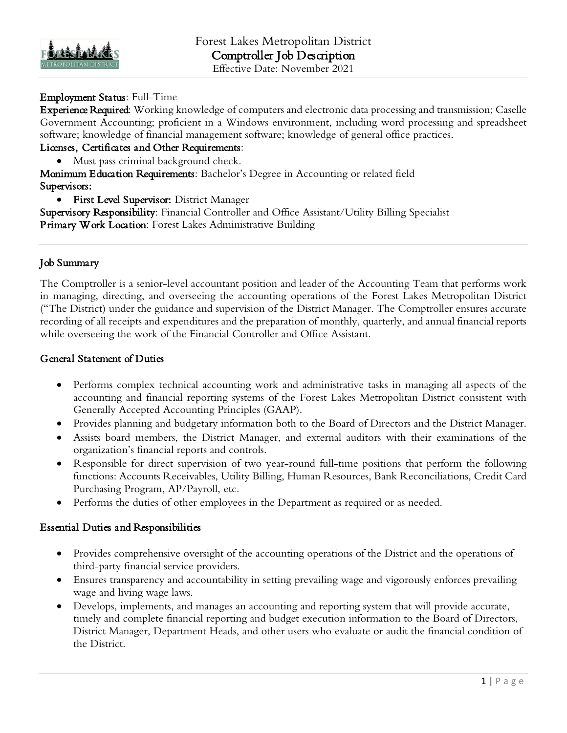

# Employment Status: Full-Time

Experience Required: Working knowledge of computers and electronic data processing and transmission; Caselle Government Accounting; proficient in a Windows environment, including word processing and spreadsheet software; knowledge of financial management software; knowledge of general office practices.

### Licenses, Certificates and Other Requirements:

• Must pass criminal background check.

Monimum Education Requirements: Bachelor's Degree in Accounting or related field Supervisors:

• First Level Supervisor: District Manager

Supervisory Responsibility: Financial Controller and Office Assistant/Utility Billing Specialist Primary Work Location: Forest Lakes Administrative Building

# Job Summary

The Comptroller is a senior-level accountant position and leader of the Accounting Team that performs work in managing, directing, and overseeing the accounting operations of the Forest Lakes Metropolitan District ("The District) under the guidance and supervision of the District Manager. The Comptroller ensures accurate recording of all receipts and expenditures and the preparation of monthly, quarterly, and annual financial reports while overseeing the work of the Financial Controller and Office Assistant.

#### General Statement of Duties

- Performs complex technical accounting work and administrative tasks in managing all aspects of the accounting and financial reporting systems of the Forest Lakes Metropolitan District consistent with Generally Accepted Accounting Principles (GAAP).
- Provides planning and budgetary information both to the Board of Directors and the District Manager.
- Assists board members, the District Manager, and external auditors with their examinations of the organization's financial reports and controls.
- Responsible for direct supervision of two year-round full-time positions that perform the following functions: Accounts Receivables, Utility Billing, Human Resources, Bank Reconciliations, Credit Card Purchasing Program, AP/Payroll, etc.
- Performs the duties of other employees in the Department as required or as needed.

#### Essential Duties and Responsibilities

- Provides comprehensive oversight of the accounting operations of the District and the operations of third-party financial service providers.
- Ensures transparency and accountability in setting prevailing wage and vigorously enforces prevailing wage and living wage laws.
- Develops, implements, and manages an accounting and reporting system that will provide accurate, timely and complete financial reporting and budget execution information to the Board of Directors, District Manager, Department Heads, and other users who evaluate or audit the financial condition of the District.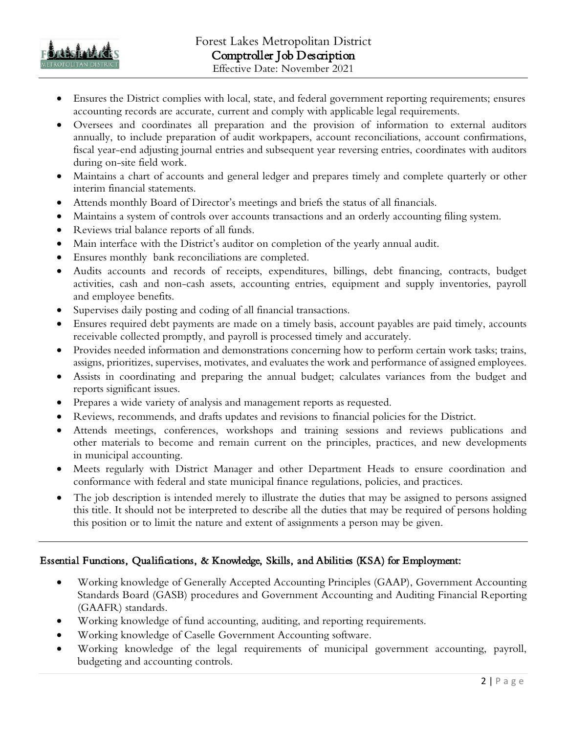

- Ensures the District complies with local, state, and federal government reporting requirements; ensures accounting records are accurate, current and comply with applicable legal requirements.
- Oversees and coordinates all preparation and the provision of information to external auditors annually, to include preparation of audit workpapers, account reconciliations, account confirmations, fiscal year-end adjusting journal entries and subsequent year reversing entries, coordinates with auditors during on-site field work.
- Maintains a chart of accounts and general ledger and prepares timely and complete quarterly or other interim financial statements.
- Attends monthly Board of Director's meetings and briefs the status of all financials.
- Maintains a system of controls over accounts transactions and an orderly accounting filing system.
- Reviews trial balance reports of all funds.
- Main interface with the District's auditor on completion of the yearly annual audit.
- Ensures monthly bank reconciliations are completed.
- Audits accounts and records of receipts, expenditures, billings, debt financing, contracts, budget activities, cash and non-cash assets, accounting entries, equipment and supply inventories, payroll and employee benefits.
- Supervises daily posting and coding of all financial transactions.
- Ensures required debt payments are made on a timely basis, account payables are paid timely, accounts receivable collected promptly, and payroll is processed timely and accurately.
- Provides needed information and demonstrations concerning how to perform certain work tasks; trains, assigns, prioritizes, supervises, motivates, and evaluates the work and performance of assigned employees.
- Assists in coordinating and preparing the annual budget; calculates variances from the budget and reports significant issues.
- Prepares a wide variety of analysis and management reports as requested.
- Reviews, recommends, and drafts updates and revisions to financial policies for the District.
- Attends meetings, conferences, workshops and training sessions and reviews publications and other materials to become and remain current on the principles, practices, and new developments in municipal accounting.
- Meets regularly with District Manager and other Department Heads to ensure coordination and conformance with federal and state municipal finance regulations, policies, and practices.
- The job description is intended merely to illustrate the duties that may be assigned to persons assigned this title. It should not be interpreted to describe all the duties that may be required of persons holding this position or to limit the nature and extent of assignments a person may be given.

# Essential Functions, Qualifications, & Knowledge, Skills, and Abilities (KSA) for Employment:

- Working knowledge of Generally Accepted Accounting Principles (GAAP), Government Accounting Standards Board (GASB) procedures and Government Accounting and Auditing Financial Reporting (GAAFR) standards.
- Working knowledge of fund accounting, auditing, and reporting requirements.
- Working knowledge of Caselle Government Accounting software.
- Working knowledge of the legal requirements of municipal government accounting, payroll, budgeting and accounting controls.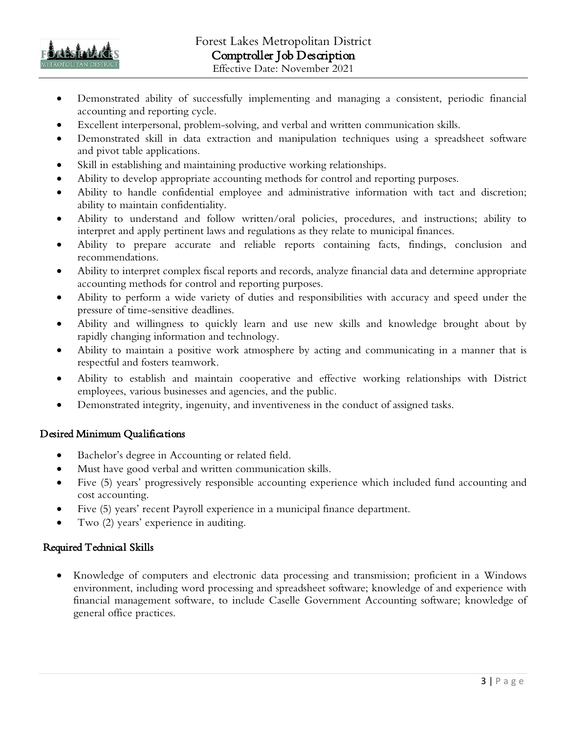

- Demonstrated ability of successfully implementing and managing a consistent, periodic financial accounting and reporting cycle.
- Excellent interpersonal, problem-solving, and verbal and written communication skills.
- Demonstrated skill in data extraction and manipulation techniques using a spreadsheet software and pivot table applications.
- Skill in establishing and maintaining productive working relationships.
- Ability to develop appropriate accounting methods for control and reporting purposes.
- Ability to handle confidential employee and administrative information with tact and discretion; ability to maintain confidentiality.
- Ability to understand and follow written/oral policies, procedures, and instructions; ability to interpret and apply pertinent laws and regulations as they relate to municipal finances.
- Ability to prepare accurate and reliable reports containing facts, findings, conclusion and recommendations.
- Ability to interpret complex fiscal reports and records, analyze financial data and determine appropriate accounting methods for control and reporting purposes.
- Ability to perform a wide variety of duties and responsibilities with accuracy and speed under the pressure of time-sensitive deadlines.
- Ability and willingness to quickly learn and use new skills and knowledge brought about by rapidly changing information and technology.
- Ability to maintain a positive work atmosphere by acting and communicating in a manner that is respectful and fosters teamwork.
- Ability to establish and maintain cooperative and effective working relationships with District employees, various businesses and agencies, and the public.
- Demonstrated integrity, ingenuity, and inventiveness in the conduct of assigned tasks.

#### Desired Minimum Qualifications

- Bachelor's degree in Accounting or related field.
- Must have good verbal and written communication skills.
- Five (5) years' progressively responsible accounting experience which included fund accounting and cost accounting.
- Five (5) years' recent Payroll experience in a municipal finance department.
- Two  $(2)$  years' experience in auditing.

# Required Technical Skills

• Knowledge of computers and electronic data processing and transmission; proficient in a Windows environment, including word processing and spreadsheet software; knowledge of and experience with financial management software, to include Caselle Government Accounting software; knowledge of general office practices.